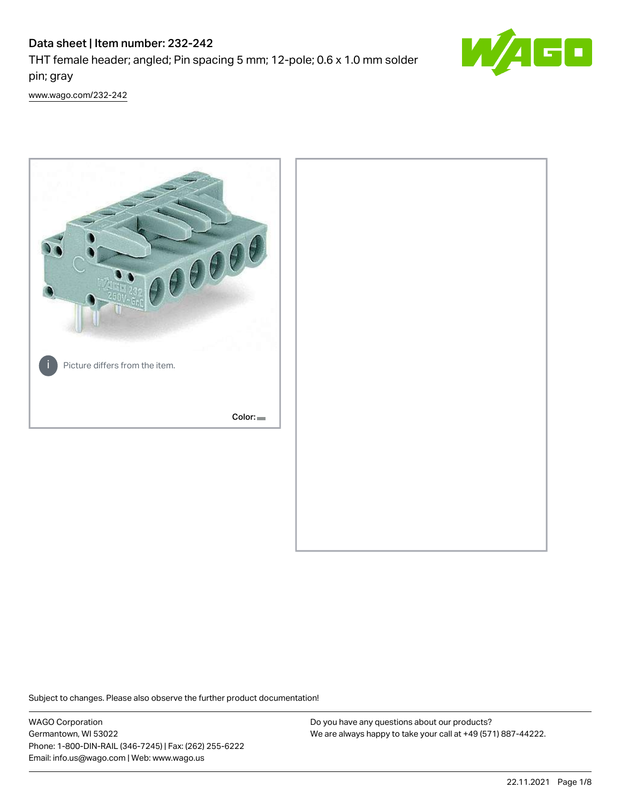# Data sheet | Item number: 232-242

THT female header; angled; Pin spacing 5 mm; 12-pole; 0.6 x 1.0 mm solder pin; gray



[www.wago.com/232-242](http://www.wago.com/232-242)



Subject to changes. Please also observe the further product documentation!

WAGO Corporation Germantown, WI 53022 Phone: 1-800-DIN-RAIL (346-7245) | Fax: (262) 255-6222 Email: info.us@wago.com | Web: www.wago.us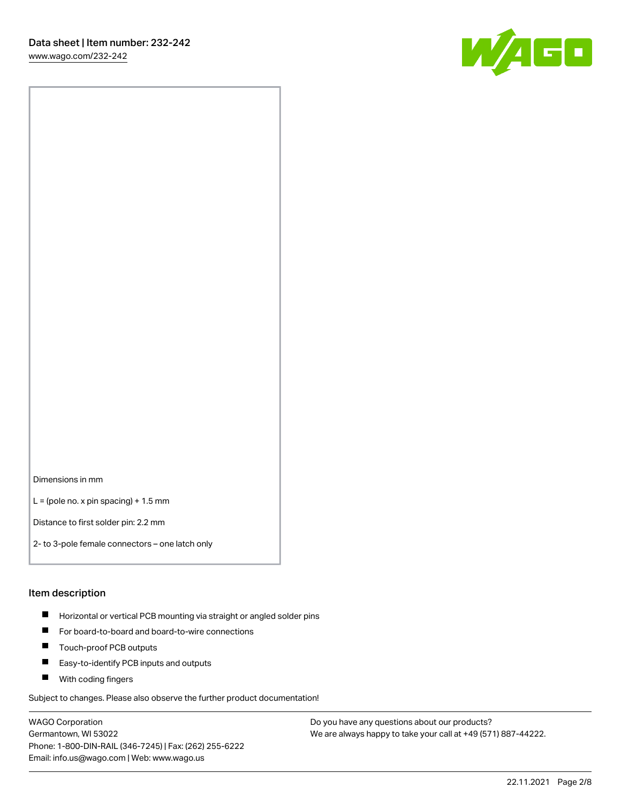[www.wago.com/232-242](http://www.wago.com/232-242)



Dimensions in mm

 $L =$  (pole no. x pin spacing) + 1.5 mm

Distance to first solder pin: 2.2 mm

2- to 3-pole female connectors – one latch only

#### Item description

- **Horizontal or vertical PCB mounting via straight or angled solder pins**
- For board-to-board and board-to-wire connections
- $\blacksquare$ Touch-proof PCB outputs
- $\blacksquare$ Easy-to-identify PCB inputs and outputs
- **Now With coding fingers**

Subject to changes. Please also observe the further product documentation!

WAGO Corporation Germantown, WI 53022 Phone: 1-800-DIN-RAIL (346-7245) | Fax: (262) 255-6222 Email: info.us@wago.com | Web: www.wago.us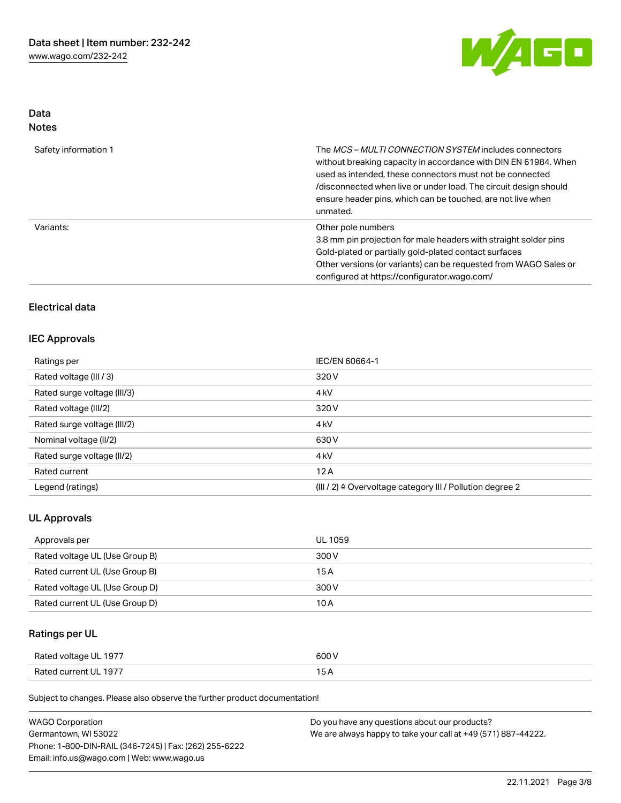

## Data Notes

| Safety information 1 | The <i>MCS – MULTI CONNECTION SYSTEM</i> includes connectors<br>without breaking capacity in accordance with DIN EN 61984. When<br>used as intended, these connectors must not be connected<br>/disconnected when live or under load. The circuit design should<br>ensure header pins, which can be touched, are not live when<br>unmated. |
|----------------------|--------------------------------------------------------------------------------------------------------------------------------------------------------------------------------------------------------------------------------------------------------------------------------------------------------------------------------------------|
| Variants:            | Other pole numbers<br>3.8 mm pin projection for male headers with straight solder pins<br>Gold-plated or partially gold-plated contact surfaces<br>Other versions (or variants) can be requested from WAGO Sales or<br>configured at https://configurator.wago.com/                                                                        |

# Electrical data

#### IEC Approvals

| Ratings per                 | IEC/EN 60664-1                                                       |
|-----------------------------|----------------------------------------------------------------------|
| Rated voltage (III / 3)     | 320 V                                                                |
| Rated surge voltage (III/3) | 4 <sub>k</sub> V                                                     |
| Rated voltage (III/2)       | 320 V                                                                |
| Rated surge voltage (III/2) | 4 <sub>k</sub> V                                                     |
| Nominal voltage (II/2)      | 630 V                                                                |
| Rated surge voltage (II/2)  | 4 <sub>k</sub> V                                                     |
| Rated current               | 12A                                                                  |
| Legend (ratings)            | (III / 2) $\triangleq$ Overvoltage category III / Pollution degree 2 |

#### UL Approvals

| Approvals per                  | UL 1059 |
|--------------------------------|---------|
| Rated voltage UL (Use Group B) | 300 V   |
| Rated current UL (Use Group B) | 15 A    |
| Rated voltage UL (Use Group D) | 300 V   |
| Rated current UL (Use Group D) | 10 A    |

# Ratings per UL

| Rated voltage UL 1977 | 600 V |
|-----------------------|-------|
| Rated current UL 1977 |       |

| <b>WAGO Corporation</b>                                | Do you have any questions about our products?                 |
|--------------------------------------------------------|---------------------------------------------------------------|
| Germantown, WI 53022                                   | We are always happy to take your call at +49 (571) 887-44222. |
| Phone: 1-800-DIN-RAIL (346-7245)   Fax: (262) 255-6222 |                                                               |
| Email: info.us@wago.com   Web: www.wago.us             |                                                               |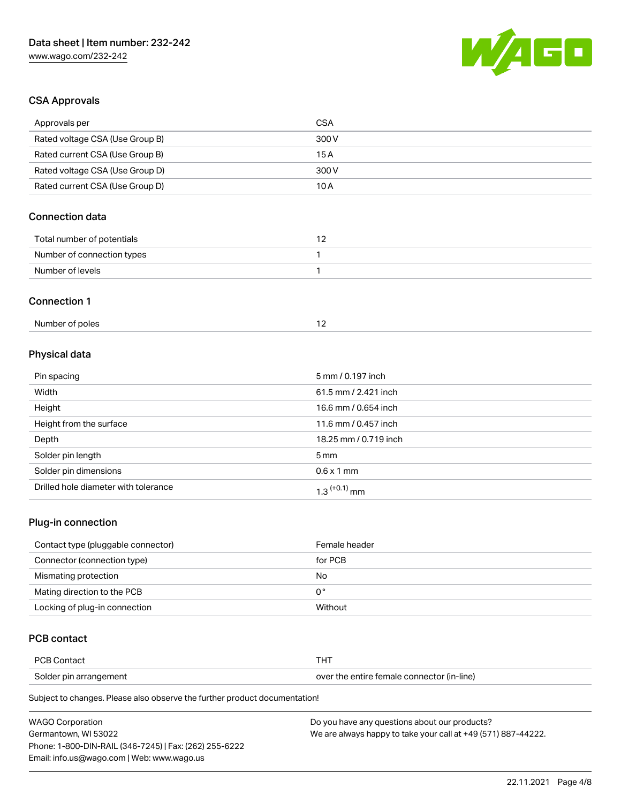

# CSA Approvals

| Approvals per                        | <b>CSA</b>            |
|--------------------------------------|-----------------------|
| Rated voltage CSA (Use Group B)      | 300V                  |
| Rated current CSA (Use Group B)      | 15A                   |
| Rated voltage CSA (Use Group D)      | 300 V                 |
| Rated current CSA (Use Group D)      | 10A                   |
| <b>Connection data</b>               |                       |
| Total number of potentials           | 12                    |
| Number of connection types           | 1                     |
| Number of levels                     | 1                     |
| <b>Connection 1</b>                  |                       |
| Number of poles                      | 12                    |
| Physical data                        |                       |
| Pin spacing                          | 5 mm / 0.197 inch     |
| Width                                | 61.5 mm / 2.421 inch  |
| Height                               | 16.6 mm / 0.654 inch  |
| Height from the surface              | 11.6 mm / 0.457 inch  |
| Depth                                | 18.25 mm / 0.719 inch |
| Solder pin length                    | 5 <sub>mm</sub>       |
| Solder pin dimensions                | $0.6 \times 1$ mm     |
| Drilled hole diameter with tolerance | $1.3$ $(+0.1)$ mm     |

#### Plug-in connection

| Contact type (pluggable connector) | Female header |
|------------------------------------|---------------|
| Connector (connection type)        | for PCB       |
| Mismating protection               | No            |
| Mating direction to the PCB        | 0°            |
| Locking of plug-in connection      | Without       |

# PCB contact

| <b>PCB Contact</b>     |                                            |
|------------------------|--------------------------------------------|
| Solder pin arrangement | over the entire female connector (in-line) |

| <b>WAGO Corporation</b>                                | Do you have any questions about our products?                 |
|--------------------------------------------------------|---------------------------------------------------------------|
| Germantown. WI 53022                                   | We are always happy to take your call at +49 (571) 887-44222. |
| Phone: 1-800-DIN-RAIL (346-7245)   Fax: (262) 255-6222 |                                                               |
| Email: info.us@wago.com   Web: www.wago.us             |                                                               |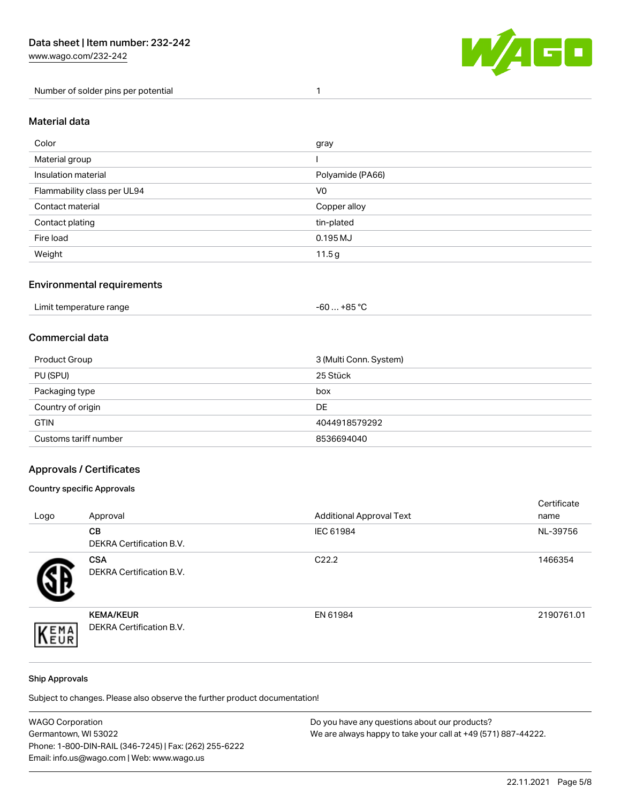[www.wago.com/232-242](http://www.wago.com/232-242)

Number of solder pins per potential 1



#### Material data

| Color                       | gray             |
|-----------------------------|------------------|
| Material group              |                  |
| Insulation material         | Polyamide (PA66) |
| Flammability class per UL94 | V <sub>0</sub>   |
| Contact material            | Copper alloy     |
| Contact plating             | tin-plated       |
| Fire load                   | 0.195 MJ         |
| Weight                      | 11.5g            |

#### Environmental requirements

| Limit temperature range<br>. | . +85 °C<br>-60 |  |
|------------------------------|-----------------|--|
|------------------------------|-----------------|--|

### Commercial data

| Product Group         | 3 (Multi Conn. System) |
|-----------------------|------------------------|
| PU (SPU)              | 25 Stück               |
| Packaging type        | box                    |
| Country of origin     | DE                     |
| <b>GTIN</b>           | 4044918579292          |
| Customs tariff number | 8536694040             |

#### Approvals / Certificates

#### Country specific Approvals

| Logo | Approval                                            | <b>Additional Approval Text</b> | Certificate<br>name |
|------|-----------------------------------------------------|---------------------------------|---------------------|
|      | CВ<br><b>DEKRA Certification B.V.</b>               | IEC 61984                       | NL-39756            |
|      | <b>CSA</b><br>DEKRA Certification B.V.              | C <sub>22.2</sub>               | 1466354             |
| EMA  | <b>KEMA/KEUR</b><br><b>DEKRA Certification B.V.</b> | EN 61984                        | 2190761.01          |

#### Ship Approvals

| <b>WAGO Corporation</b>                                | Do you have any questions about our products?                 |
|--------------------------------------------------------|---------------------------------------------------------------|
| Germantown, WI 53022                                   | We are always happy to take your call at +49 (571) 887-44222. |
| Phone: 1-800-DIN-RAIL (346-7245)   Fax: (262) 255-6222 |                                                               |
| Email: info.us@wago.com   Web: www.wago.us             |                                                               |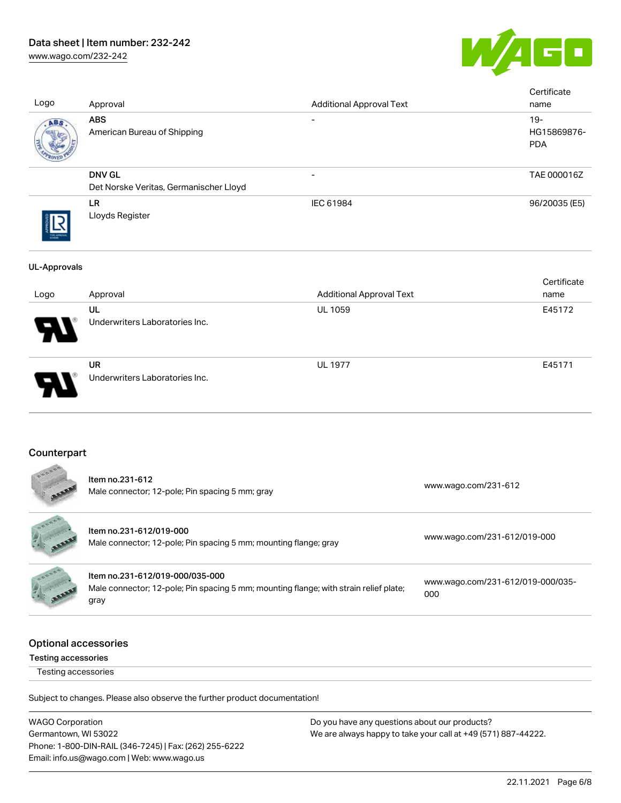# Data sheet | Item number: 232-242

[www.wago.com/232-242](http://www.wago.com/232-242)



| Logo                | Approval                                                                                    | <b>Additional Approval Text</b> |                              | Certificate<br>name                 |
|---------------------|---------------------------------------------------------------------------------------------|---------------------------------|------------------------------|-------------------------------------|
| ABS                 | <b>ABS</b><br>American Bureau of Shipping                                                   |                                 |                              | $19 -$<br>HG15869876-<br><b>PDA</b> |
|                     | <b>DNV GL</b><br>Det Norske Veritas, Germanischer Lloyd                                     |                                 |                              | TAE 000016Z                         |
|                     | <b>LR</b><br>Lloyds Register                                                                | IEC 61984                       |                              | 96/20035 (E5)                       |
| <b>UL-Approvals</b> |                                                                                             |                                 |                              |                                     |
| Logo                | Approval                                                                                    | <b>Additional Approval Text</b> |                              | Certificate<br>name                 |
|                     | UL<br>Underwriters Laboratories Inc.                                                        | <b>UL 1059</b>                  |                              | E45172                              |
|                     | <b>UR</b><br>Underwriters Laboratories Inc.                                                 | <b>UL 1977</b>                  |                              | E45171                              |
| Counterpart         |                                                                                             |                                 |                              |                                     |
|                     | Item no.231-612<br>Male connector; 12-pole; Pin spacing 5 mm; gray                          |                                 | www.wago.com/231-612         |                                     |
|                     | Item no.231-612/019-000<br>Male connector; 12-pole; Pin spacing 5 mm; mounting flange; gray |                                 | www.wago.com/231-612/019-000 |                                     |



Item no.231-612/019-000/035-000 Male connector; 12-pole; Pin spacing 5 mm; mounting flange; with strain relief plate; gray [www.wago.com/231-612/019-000/035-](https://www.wago.com/231-612/019-000/035-000) [000](https://www.wago.com/231-612/019-000/035-000)

#### Optional accessories

Testing accessories

Testing accessories

Subject to changes. Please also observe the further product documentation!

WAGO Corporation Germantown, WI 53022 Phone: 1-800-DIN-RAIL (346-7245) | Fax: (262) 255-6222 Email: info.us@wago.com | Web: www.wago.us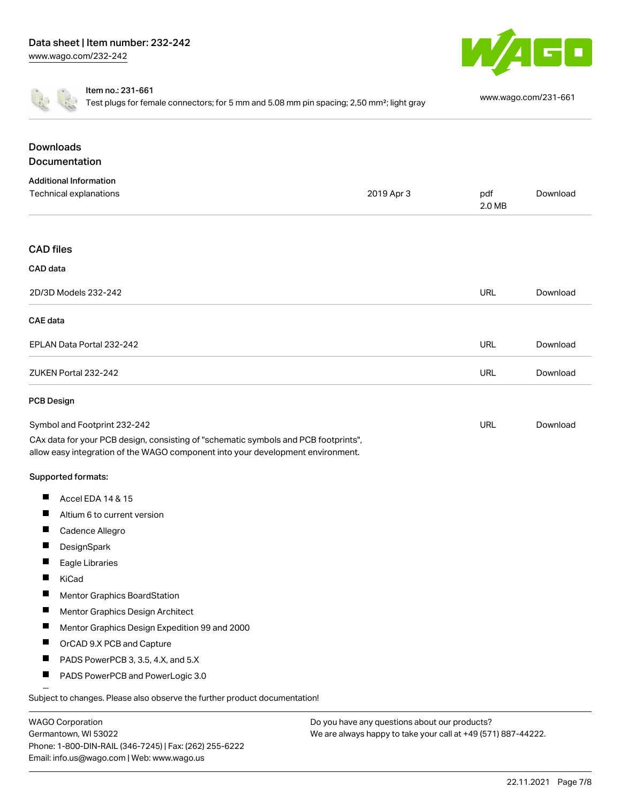



Item no.: 231-661

Test plugs for female connectors; for 5 mm and 5.08 mm pin spacing; 2,50 mm²; light gray [www.wago.com/231-661](http://www.wago.com/231-661)

| <b>Downloads</b><br><b>Documentation</b>                                                                                                                               |            |               |          |
|------------------------------------------------------------------------------------------------------------------------------------------------------------------------|------------|---------------|----------|
| <b>Additional Information</b>                                                                                                                                          |            |               |          |
| <b>Technical explanations</b>                                                                                                                                          | 2019 Apr 3 | pdf<br>2.0 MB | Download |
| <b>CAD</b> files                                                                                                                                                       |            |               |          |
| CAD data                                                                                                                                                               |            |               |          |
| 2D/3D Models 232-242                                                                                                                                                   |            | URL           | Download |
| CAE data                                                                                                                                                               |            |               |          |
| EPLAN Data Portal 232-242                                                                                                                                              |            | URL           | Download |
| ZUKEN Portal 232-242                                                                                                                                                   |            | <b>URL</b>    | Download |
| <b>PCB Design</b>                                                                                                                                                      |            |               |          |
| Symbol and Footprint 232-242                                                                                                                                           |            | URL           | Download |
| CAx data for your PCB design, consisting of "schematic symbols and PCB footprints",<br>allow easy integration of the WAGO component into your development environment. |            |               |          |
| Supported formats:                                                                                                                                                     |            |               |          |
| Accel EDA 14 & 15<br>ш                                                                                                                                                 |            |               |          |
| ш<br>Altium 6 to current version                                                                                                                                       |            |               |          |
| ш<br>Cadence Allegro                                                                                                                                                   |            |               |          |
| DesignSpark<br>ш                                                                                                                                                       |            |               |          |
| Eagle Libraries                                                                                                                                                        |            |               |          |
| KiCad                                                                                                                                                                  |            |               |          |
| <b>Mentor Graphics BoardStation</b>                                                                                                                                    |            |               |          |
| Mentor Graphics Design Architect<br>ш                                                                                                                                  |            |               |          |
| ш<br>Mentor Graphics Design Expedition 99 and 2000                                                                                                                     |            |               |          |
| ш<br>OrCAD 9.X PCB and Capture                                                                                                                                         |            |               |          |
| PADS PowerPCB 3, 3.5, 4.X, and 5.X<br>ш                                                                                                                                |            |               |          |
| PADS PowerPCB and PowerLogic 3.0<br>ш                                                                                                                                  |            |               |          |

Subject to changes. Please also observe the further product documentation!

| <b>WAGO Corporation</b>                                |
|--------------------------------------------------------|
| Germantown, WI 53022                                   |
| Phone: 1-800-DIN-RAIL (346-7245)   Fax: (262) 255-6222 |
| Email: info.us@wago.com   Web: www.wago.us             |